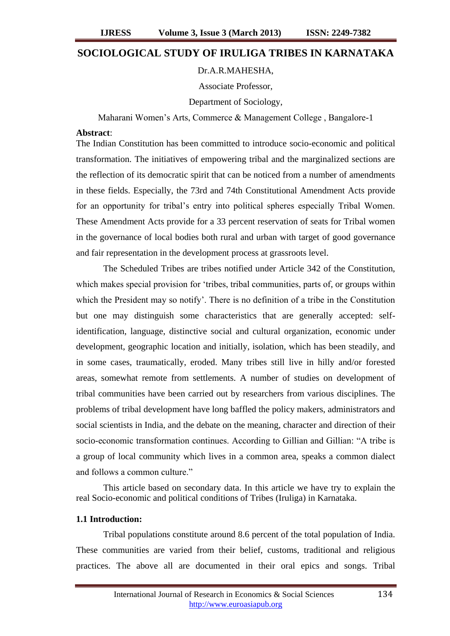# **SOCIOLOGICAL STUDY OF IRULIGA TRIBES IN KARNATAKA**

## Dr.A.R.MAHESHA,

Associate Professor,

Department of Sociology,

Maharani Women"s Arts, Commerce & Management College , Bangalore-1

#### **Abstract**:

The Indian Constitution has been committed to introduce socio-economic and political transformation. The initiatives of empowering tribal and the marginalized sections are the reflection of its democratic spirit that can be noticed from a number of amendments in these fields. Especially, the 73rd and 74th Constitutional Amendment Acts provide for an opportunity for tribal"s entry into political spheres especially Tribal Women. These Amendment Acts provide for a 33 percent reservation of seats for Tribal women in the governance of local bodies both rural and urban with target of good governance and fair representation in the development process at grassroots level.

The Scheduled Tribes are tribes notified under Article 342 of the Constitution, which makes special provision for 'tribes, tribal communities, parts of, or groups within which the President may so notify'. There is no definition of a tribe in the Constitution but one may distinguish some characteristics that are generally accepted: selfidentification, language, distinctive social and cultural organization, economic under development, geographic location and initially, isolation, which has been steadily, and in some cases, traumatically, eroded. Many tribes still live in hilly and/or forested areas, somewhat remote from settlements. A number of studies on development of tribal communities have been carried out by researchers from various disciplines. The problems of tribal development have long baffled the policy makers, administrators and social scientists in India, and the debate on the meaning, character and direction of their socio-economic transformation continues. According to Gillian and Gillian: "A tribe is a group of local community which lives in a common area, speaks a common dialect and follows a common culture."

This article based on secondary data. In this article we have try to explain the real Socio-economic and political conditions of Tribes (Iruliga) in Karnataka.

#### **1.1 Introduction:**

Tribal populations constitute around 8.6 percent of the total population of India. These communities are varied from their belief, customs, traditional and religious practices. The above all are documented in their oral epics and songs. Tribal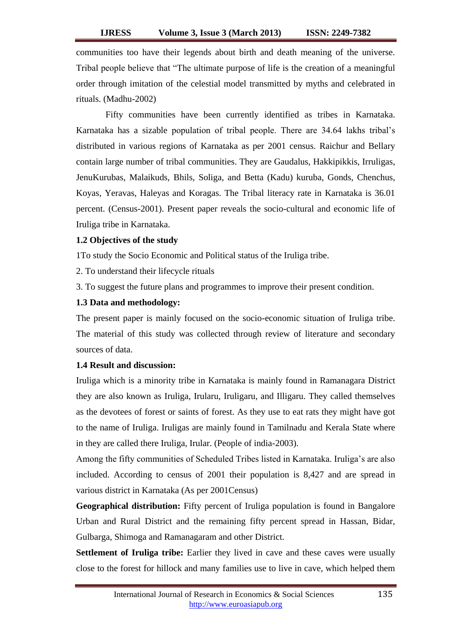communities too have their legends about birth and death meaning of the universe. Tribal people believe that "The ultimate purpose of life is the creation of a meaningful order through imitation of the celestial model transmitted by myths and celebrated in rituals. (Madhu-2002)

Fifty communities have been currently identified as tribes in Karnataka. Karnataka has a sizable population of tribal people. There are 34.64 lakhs tribal"s distributed in various regions of Karnataka as per 2001 census. Raichur and Bellary contain large number of tribal communities. They are Gaudalus, Hakkipikkis, Irruligas, JenuKurubas, Malaikuds, Bhils, Soliga, and Betta (Kadu) kuruba, Gonds, Chenchus, Koyas, Yeravas, Haleyas and Koragas. The Tribal literacy rate in Karnataka is 36.01 percent. (Census-2001). Present paper reveals the socio-cultural and economic life of Iruliga tribe in Karnataka.

## **1.2 Objectives of the study**

1To study the Socio Economic and Political status of the Iruliga tribe.

2. To understand their lifecycle rituals

3. To suggest the future plans and programmes to improve their present condition.

#### **1.3 Data and methodology:**

The present paper is mainly focused on the socio-economic situation of Iruliga tribe. The material of this study was collected through review of literature and secondary sources of data.

# **1.4 Result and discussion:**

Iruliga which is a minority tribe in Karnataka is mainly found in Ramanagara District they are also known as Iruliga, Irularu, Iruligaru, and Illigaru. They called themselves as the devotees of forest or saints of forest. As they use to eat rats they might have got to the name of Iruliga. Iruligas are mainly found in Tamilnadu and Kerala State where in they are called there Iruliga, Irular. (People of india-2003).

Among the fifty communities of Scheduled Tribes listed in Karnataka. Iruliga"s are also included. According to census of 2001 their population is 8,427 and are spread in various district in Karnataka (As per 2001Census)

**Geographical distribution:** Fifty percent of Iruliga population is found in Bangalore Urban and Rural District and the remaining fifty percent spread in Hassan, Bidar, Gulbarga, Shimoga and Ramanagaram and other District.

**Settlement of Iruliga tribe:** Earlier they lived in cave and these caves were usually close to the forest for hillock and many families use to live in cave, which helped them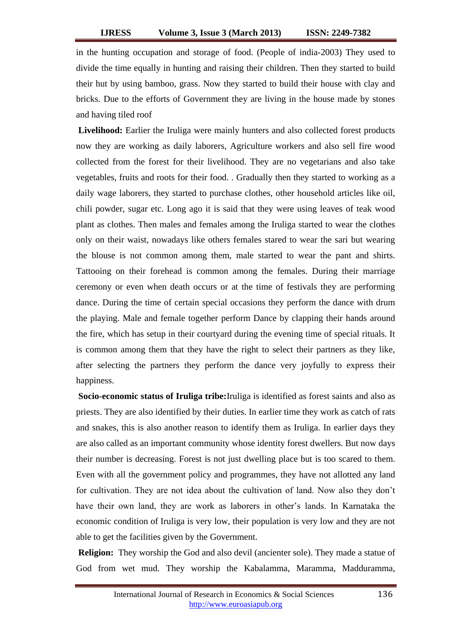in the hunting occupation and storage of food. (People of india-2003) They used to divide the time equally in hunting and raising their children. Then they started to build their hut by using bamboo, grass. Now they started to build their house with clay and bricks. Due to the efforts of Government they are living in the house made by stones and having tiled roof

**Livelihood:** Earlier the Iruliga were mainly hunters and also collected forest products now they are working as daily laborers, Agriculture workers and also sell fire wood collected from the forest for their livelihood. They are no vegetarians and also take vegetables, fruits and roots for their food. . Gradually then they started to working as a daily wage laborers, they started to purchase clothes, other household articles like oil, chili powder, sugar etc. Long ago it is said that they were using leaves of teak wood plant as clothes. Then males and females among the Iruliga started to wear the clothes only on their waist, nowadays like others females stared to wear the sari but wearing the blouse is not common among them, male started to wear the pant and shirts. Tattooing on their forehead is common among the females. During their marriage ceremony or even when death occurs or at the time of festivals they are performing dance. During the time of certain special occasions they perform the dance with drum the playing. Male and female together perform Dance by clapping their hands around the fire, which has setup in their courtyard during the evening time of special rituals. It is common among them that they have the right to select their partners as they like, after selecting the partners they perform the dance very joyfully to express their happiness.

**Socio-economic status of Iruliga tribe:**Iruliga is identified as forest saints and also as priests. They are also identified by their duties. In earlier time they work as catch of rats and snakes, this is also another reason to identify them as Iruliga. In earlier days they are also called as an important community whose identity forest dwellers. But now days their number is decreasing. Forest is not just dwelling place but is too scared to them. Even with all the government policy and programmes, they have not allotted any land for cultivation. They are not idea about the cultivation of land. Now also they don"t have their own land, they are work as laborers in other's lands. In Karnataka the economic condition of Iruliga is very low, their population is very low and they are not able to get the facilities given by the Government.

**Religion:** They worship the God and also devil (ancienter sole). They made a statue of God from wet mud. They worship the Kabalamma, Maramma, Madduramma,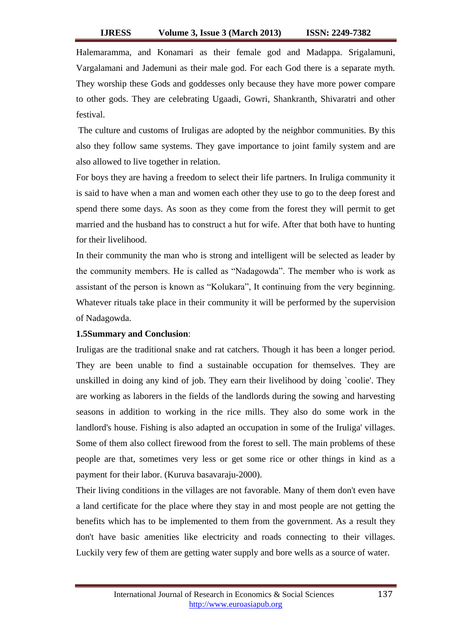Halemaramma, and Konamari as their female god and Madappa. Srigalamuni, Vargalamani and Jademuni as their male god. For each God there is a separate myth. They worship these Gods and goddesses only because they have more power compare to other gods. They are celebrating Ugaadi, Gowri, Shankranth, Shivaratri and other festival.

The culture and customs of Iruligas are adopted by the neighbor communities. By this also they follow same systems. They gave importance to joint family system and are also allowed to live together in relation.

For boys they are having a freedom to select their life partners. In Iruliga community it is said to have when a man and women each other they use to go to the deep forest and spend there some days. As soon as they come from the forest they will permit to get married and the husband has to construct a hut for wife. After that both have to hunting for their livelihood.

In their community the man who is strong and intelligent will be selected as leader by the community members. He is called as "Nadagowda". The member who is work as assistant of the person is known as "Kolukara", It continuing from the very beginning. Whatever rituals take place in their community it will be performed by the supervision of Nadagowda.

# **1.5Summary and Conclusion**:

Iruligas are the traditional snake and rat catchers. Though it has been a longer period. They are been unable to find a sustainable occupation for themselves. They are unskilled in doing any kind of job. They earn their livelihood by doing `coolie'. They are working as laborers in the fields of the landlords during the sowing and harvesting seasons in addition to working in the rice mills. They also do some work in the landlord's house. Fishing is also adapted an occupation in some of the Iruliga' villages. Some of them also collect firewood from the forest to sell. The main problems of these people are that, sometimes very less or get some rice or other things in kind as a payment for their labor. (Kuruva basavaraju-2000).

Their living conditions in the villages are not favorable. Many of them don't even have a land certificate for the place where they stay in and most people are not getting the benefits which has to be implemented to them from the government. As a result they don't have basic amenities like electricity and roads connecting to their villages. Luckily very few of them are getting water supply and bore wells as a source of water.